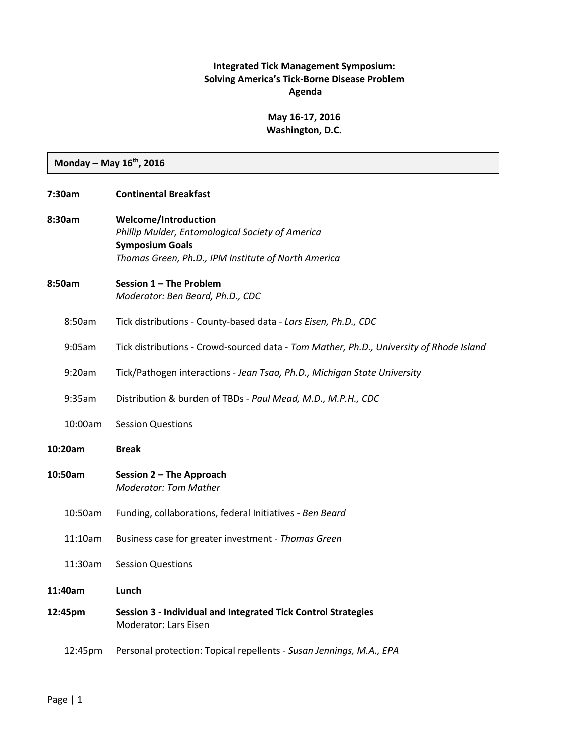### **Integrated Tick Management Symposium: Solving America's Tick-Borne Disease Problem Agenda**

## **May 16-17, 2016 Washington, D.C.**

**Monday – May 16th, 2016**

| 7:30am  |         | <b>Continental Breakfast</b>                                                                                                                              |
|---------|---------|-----------------------------------------------------------------------------------------------------------------------------------------------------------|
| 8:30am  |         | Welcome/Introduction<br>Phillip Mulder, Entomological Society of America<br><b>Symposium Goals</b><br>Thomas Green, Ph.D., IPM Institute of North America |
| 8:50am  |         | Session 1 - The Problem<br>Moderator: Ben Beard, Ph.D., CDC                                                                                               |
|         | 8:50am  | Tick distributions - County-based data - Lars Eisen, Ph.D., CDC                                                                                           |
|         | 9:05am  | Tick distributions - Crowd-sourced data - Tom Mather, Ph.D., University of Rhode Island                                                                   |
|         | 9:20am  | Tick/Pathogen interactions - Jean Tsao, Ph.D., Michigan State University                                                                                  |
|         | 9:35am  | Distribution & burden of TBDs - Paul Mead, M.D., M.P.H., CDC                                                                                              |
|         | 10:00am | <b>Session Questions</b>                                                                                                                                  |
| 10:20am |         | <b>Break</b>                                                                                                                                              |
| 10:50am |         | Session 2 - The Approach<br><b>Moderator: Tom Mather</b>                                                                                                  |
|         | 10:50am | Funding, collaborations, federal Initiatives - Ben Beard                                                                                                  |
|         | 11:10am | Business case for greater investment - Thomas Green                                                                                                       |
|         | 11:30am | <b>Session Questions</b>                                                                                                                                  |
|         | 11:40am | Lunch                                                                                                                                                     |
|         |         |                                                                                                                                                           |
|         | 12:45pm | Session 3 - Individual and Integrated Tick Control Strategies<br>Moderator: Lars Eisen                                                                    |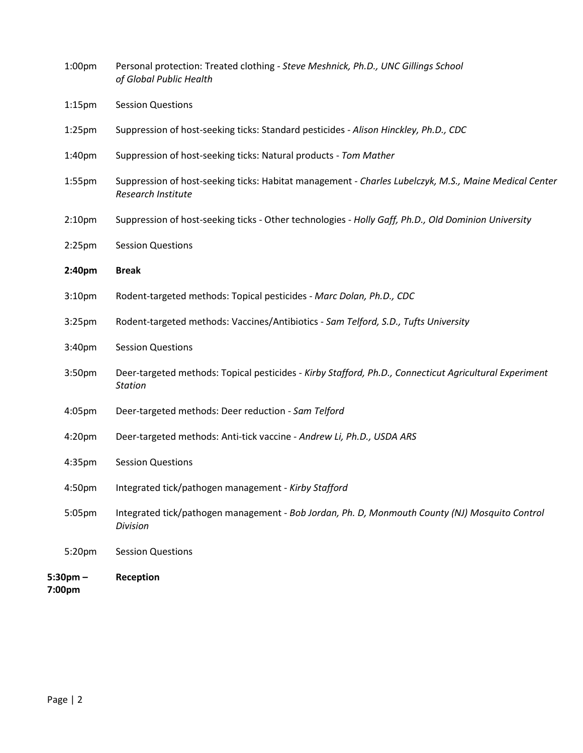| $5:30$ pm $-$<br>7:00pm | Reception                                                                                                                   |
|-------------------------|-----------------------------------------------------------------------------------------------------------------------------|
| 5:20pm                  | <b>Session Questions</b>                                                                                                    |
| 5:05pm                  | Integrated tick/pathogen management - Bob Jordan, Ph. D, Monmouth County (NJ) Mosquito Control<br>Division                  |
| 4:50pm                  | Integrated tick/pathogen management - Kirby Stafford                                                                        |
| 4:35pm                  | <b>Session Questions</b>                                                                                                    |
| 4:20pm                  | Deer-targeted methods: Anti-tick vaccine - Andrew Li, Ph.D., USDA ARS                                                       |
| 4:05pm                  | Deer-targeted methods: Deer reduction - Sam Telford                                                                         |
| 3:50 <sub>pm</sub>      | Deer-targeted methods: Topical pesticides - Kirby Stafford, Ph.D., Connecticut Agricultural Experiment<br><b>Station</b>    |
| 3:40 <sub>pm</sub>      | <b>Session Questions</b>                                                                                                    |
| 3:25 <sub>pm</sub>      | Rodent-targeted methods: Vaccines/Antibiotics - Sam Telford, S.D., Tufts University                                         |
| 3:10 <sub>pm</sub>      | Rodent-targeted methods: Topical pesticides - Marc Dolan, Ph.D., CDC                                                        |
| 2:40pm                  | <b>Break</b>                                                                                                                |
| 2:25 <sub>pm</sub>      | <b>Session Questions</b>                                                                                                    |
| 2:10 <sub>pm</sub>      | Suppression of host-seeking ticks - Other technologies - Holly Gaff, Ph.D., Old Dominion University                         |
| $1:55$ pm               | Suppression of host-seeking ticks: Habitat management - Charles Lubelczyk, M.S., Maine Medical Center<br>Research Institute |
| 1:40 <sub>pm</sub>      | Suppression of host-seeking ticks: Natural products - Tom Mather                                                            |
| $1:25$ pm               | Suppression of host-seeking ticks: Standard pesticides - Alison Hinckley, Ph.D., CDC                                        |
| $1:15$ pm               | <b>Session Questions</b>                                                                                                    |
| 1:00 <sub>pm</sub>      | Personal protection: Treated clothing - Steve Meshnick, Ph.D., UNC Gillings School<br>of Global Public Health               |